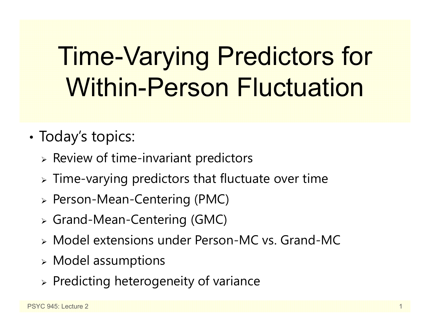# Time-Varying Predictors for Within-Person Fluctuation

- •• Today's topics:
	- $\triangleright$  Review of time-invariant predictors
	- $\triangleright$  Time-varying predictors that fluctuate over time
	- Person-Mean-Centering (PMC)
	- Grand-Mean-Centering (GMC)
	- Model extensions under Person-MC vs. Grand-MC
	- $\triangleright$  Model assumptions
	- $\triangleright$  Predicting heterogeneity of variance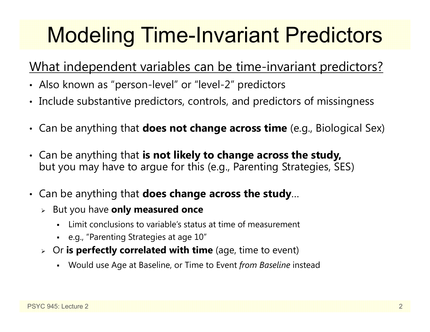## Modeling Time-Invariant Predictors

### What independent variables can be time-invariant predictors?

- Also known as "person-level" or "level-2" predictors
- Include substantive predictors, controls, and predictors of missingness
- Can be anything that **does not change across time** (e.g., Biological Sex)
- Can be anything that **is not likely to change across the study,**  but you may have to argue for this (e.g., Parenting Strategies, SES)
- Can be anything that **does change across the study**…
	- But you have **only measured once**
		- n Limit conclusions to variable's status at time of measurement
		- e.g., "Parenting Strategies at age 10"
	- Or **is perfectly correlated with time** (age, time to event)
		- Would use Age at Baseline, or Time to Event *from Baseline* instead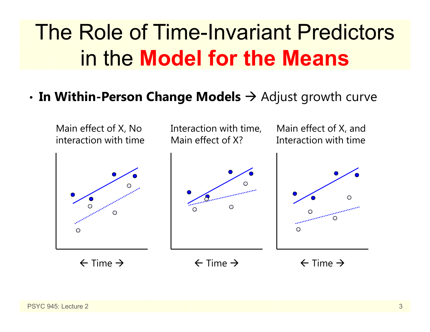## The Role of Time-Invariant Predictors in the **Model for the Means**

#### •**In Within-Person Change Models**  Adjust growth curve

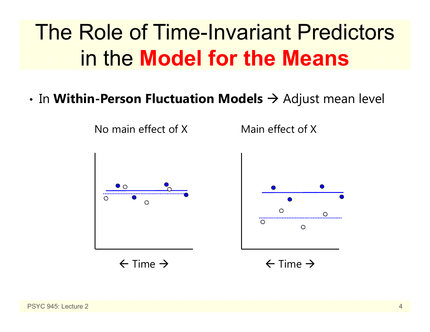## The Role of Time-Invariant Predictors in the **Model for the Means**

 $\boldsymbol{\cdot}$  In **Within-Person Fluctuation Models**  $\boldsymbol{\rightarrow}$  Adjust mean level

No main effect of X



 $\leftarrow$  Time  $\rightarrow$ 



 $\bullet$ 

 $\odot$ 

⊕

Main effect of X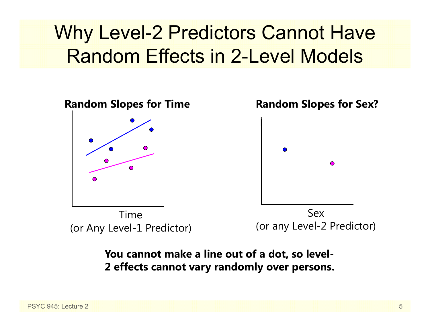## Why Level-2 Predictors Cannot Have Random Effects in 2-Level Models



#### **You cannot make a line out of a dot, so level-2 effects cannot vary randomly over persons.**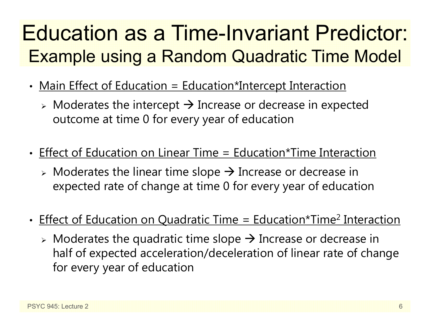## Education as a Time-Invariant Predictor: Example using a Random Quadratic Time Model

- •• <u>Main Effect of Education = Education\*Intercept Interaction</u>
	- $\triangleright$  Moderates the intercept  $\rightarrow$  Increase or decrease in expected outcome at time 0 for every year of education
- Effect of Education on Linear Time = Education\*Time Interaction
	- $\triangleright$  Moderates the linear time slope  $\rightarrow$  Increase or decrease in expected rate of change at time 0 for every year of education
- •• Effect of Education on Quadratic Time = Education\*Time<sup>2</sup> Interaction
	- $\triangleright$  Moderates the quadratic time slope  $\rightarrow$  Increase or decrease in half of expected acceleration/deceleration of linear rate of change for every year of education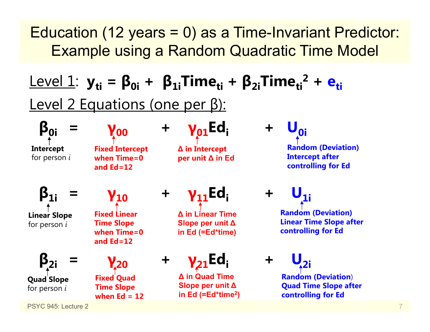### Education (12 years = 0) as a Time-Invariant Predictor: Example using a Random Quadratic Time Model

## ${\sf Level\ 1:}\ \bf{y_{ti}} = {\sf \boldsymbol{\beta}_{0i}} + {\sf \boldsymbol{\beta}_{1i}}$ Time $_{\sf ti}$  +  ${\sf \boldsymbol{\beta}_{2i}}$ Time $_{\sf ti}^{2}$  +  ${\sf \boldsymbol{\mathsf{e}_{ti}}}$ Level 2 Equations (one per β):

**Intercept** for person *i*

**β0i <sup>=</sup>**

**γ00Fixed Intercept when Time=0 and Ed=12**

**<sup>+</sup> γ01Edi +** 

**∆ in Intercept per unit ∆ in Ed**

**<sub>0i</sub> Random (Deviation) Intercept after controlling for Ed**

**β1i <sup>=</sup> Linear Slope** for person *i*

**β2i**

**Quad Slope** for person *i*

**γ10**

**Fixed Linear Time Slope when Time=0 and Ed=12**

**γ20 <sup>+</sup> Fixed Quad Time Slope when Ed = 12**

**<sup>+</sup> γ11Edi +** 

**∆ in Linear Time Slope per unit ∆in Ed (=Ed\*time)**

## **γ**<sub>21</sub>Ed:

**∆ in Quad Time Slope per unit ∆ in Ed (=Ed\*time 2)**  $$ 

**Random (Deviation) Linear Time Slope after controlling for Ed**

 $U_{2i}$ 

**Random (Deviation**) **Quad Time Slope after controlling for Ed**

PSYC 945: Lecture 2

**<sup>=</sup>**

7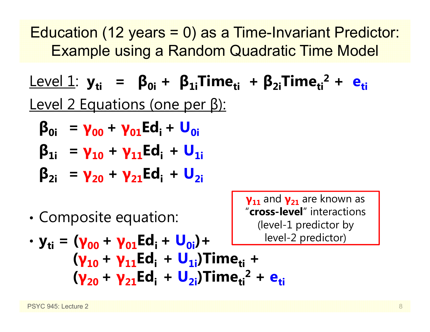Education (12 years = 0) as a Time-Invariant Predictor: Example using a Random Quadratic Time Model

Level 1: **yti <sup>=</sup> β0i <sup>+</sup> β1iTimeti <sup>+</sup> β2iTimeti2 + eti**Level 2 Equations (one per β):

$$
\beta_{0i} = \gamma_{00} + \gamma_{01} Ed_i + U_{0i}
$$

$$
\beta_{1i} = \gamma_{10} + \gamma_{11} Ed_i + U_{1i}
$$

$$
\beta_{2i} = \gamma_{20} + \gamma_{21} Ed_i + U_{2i}
$$

•Composite equation:

**γ11** and **γ21** are known as "**cross-level**" interactions (level-1 predictor by -2 predictor)

$$
\cdot y_{ti} = (\gamma_{00} + \gamma_{01} Ed_{i} + U_{0i}) + \underline{\qquad \qquad \text{level}} \\
 (y_{10} + \gamma_{11} Ed_{i} + U_{1i}) Time_{ti} + \\
 (y_{20} + \gamma_{21} Ed_{i} + U_{2i}) Time_{ti}^{2} + e_{ti}
$$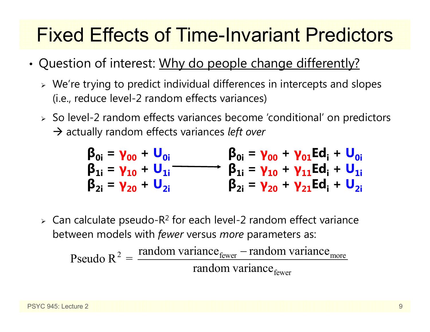## Fixed Effects of Time-Invariant Predictors

- •• Question of interest: Why do people change differently?
	- $\triangleright$  We're trying to predict individual differences in intercepts and slopes (i.e., reduce level-2 random effects variances)
	- So level-2 random effects variances become 'conditional' on predictors → actually random effects variances *left over*

$$
\begin{matrix}\n\beta_{0i} = \gamma_{00} + U_{0i} & \beta_{0i} = \gamma_{00} + \gamma_{01} Ed_{i} + U_{0i} \\
\beta_{1i} = \gamma_{10} + U_{1i} & \beta_{1i} = \gamma_{10} + \gamma_{11} Ed_{i} + U_{1i} \\
\beta_{2i} = \gamma_{20} + U_{2i} & \beta_{2i} = \gamma_{20} + \gamma_{21} Ed_{i} + U_{2i}\n\end{matrix}
$$

 $\triangleright$  Can calculate pseudo-R<sup>2</sup> for each level-2 random effect variance between models with *fewer* versus *more* parameters as:

Pseudo R<sup>2</sup> = 
$$
\frac{\text{random variance}_{\text{fewer}} - \text{random variance}_{\text{move}}}{\text{random variance}_{\text{fewer}}}
$$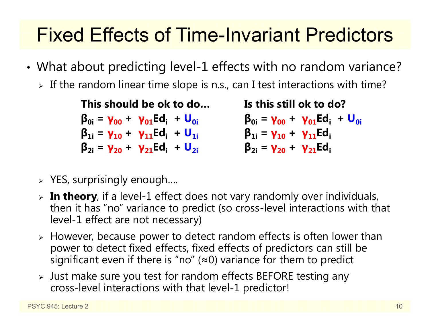## Fixed Effects of Time-Invariant Predictors

- • What about predicting level-1 effects with no random variance?
	- $\triangleright$  If the random linear time slope is n.s., can I test interactions with time?

**This should be ok to do…β0i <sup>=</sup> γ00 <sup>+</sup> γ01Edi <sup>+</sup> U0iβ1i <sup>=</sup> γ10 <sup>+</sup> γ11Edi <sup>+</sup> U1iβ2i <sup>=</sup> γ20 <sup>+</sup> γ21Edi <sup>+</sup> U2i Is this still ok to do?β0i <sup>=</sup> γ00 <sup>+</sup> γ01Edi <sup>+</sup> U0iβ1i <sup>=</sup> γ10 <sup>+</sup> γ11Ediβ2i <sup>=</sup> γ20 <sup>+</sup> γ21Edi**

- $\triangleright$  YES, surprisingly enough....
- **In theory**, if a level-1 effect does not vary randomly over individuals, then it has "no" variance to predict (so cross-level interactions with that level-1 effect are not necessary)
- $\triangleright$  However, because power to detect random effects is often lower than power to detect fixed effects, fixed effects of predictors can still be significant even if there is "no" ( <sup>≈</sup>0) variance for them to predict
- Just make sure you test for random effects BEFORE testing any cross-level interactions with that level-1 predictor!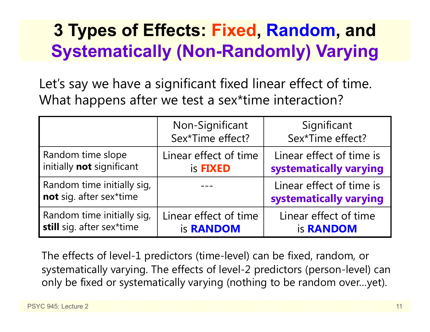## **3 Types of Effects: Fixed, Random, and Systematically (Non-Randomly) Varying**

Let's say we have a significant fixed linear effect of time. What happens after we test a sex\*time interaction?

|                                                       | Non-Significant<br>Sex*Time effect? | Significant<br>Sex*Time effect?                    |
|-------------------------------------------------------|-------------------------------------|----------------------------------------------------|
| Random time slope                                     | Linear effect of time               | Linear effect of time is                           |
| initially not significant                             | is <b>FIXED</b>                     | systematically varying                             |
| Random time initially sig,<br>not sig. after sex*time |                                     | Linear effect of time is<br>systematically varying |
| Random time initially sig,                            | Linear effect of time               | Linear effect of time                              |
| still sig. after sex*time                             | is <b>RANDOM</b>                    | is <b>RANDOM</b>                                   |

The effects of level-1 predictors (time-level) can be fixed, random, or systematically varying. The effects of level-2 predictors (person-level) can only be fixed or systematically varying (nothing to be random over…yet).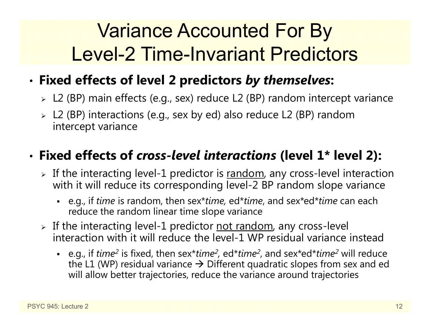## Variance Accounted For By Level-2 Time-Invariant Predictors

#### •**Fixed effects of level 2 predictors** *by themselves***:**

- L2 (BP) main effects (e.g., sex) reduce L2 (BP) random intercept variance
- L2 (BP) interactions (e.g., sex by ed) also reduce L2 (BP) random intercept variance

### • **Fixed effects of** *cross-level interactions* **(level 1\* level 2):**

- $\triangleright$  If the interacting level-1 predictor is  $\overline{\text{random}}$ , any cross-level interaction with it will reduce its corresponding level-2 BP random slope variance
	- e.g., if *time* is random, then sex\**time,* ed\**time*, and sex\*ed\**time* can each reduce the random linear time slope variance
- > If the interacting level-1 predictor <u>not random</u>, any cross-level interaction with it will reduce the level-1 WP residual variance instead
	- e.g., if *time<sup>2</sup>* is fixed, then sex\**time<sup>2</sup>,* ed\**time<sup>2</sup>,* and sex\*ed\**time<sup>2</sup> will reduce* the L1 (WP) residual variance  $\bm{\rightarrow}$  Different quadratic slopes from sex and ed will allow better trajectories, reduce the variance around trajectories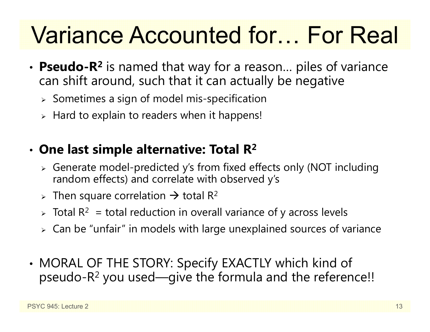# Variance Accounted for… For Real

- **Pseudo-R 2** is named that way for a reason… piles of variance can shift around, such that it can actually be negative
	- $\triangleright$  Sometimes a sign of model mis-specification
	- $\triangleright$  Hard to explain to readers when it happens!

#### •**One last simple alternative: Total R 2**

- Generate model-predicted y's from fixed effects only (NOT including random effects) and correlate with observed y's
- > Then square correlation  $\rightarrow$  total R<sup>2</sup>
- $\triangleright$  Total R $^2\,$  = total reduction in overall variance of y across levels
- $\triangleright\;$  Can be "unfair" in models with large unexplained sources of variance
- • MORAL OF THE STORY: Specify EXACTLY which kind of pseudo-R $^2$  you used—give the formula and the reference!!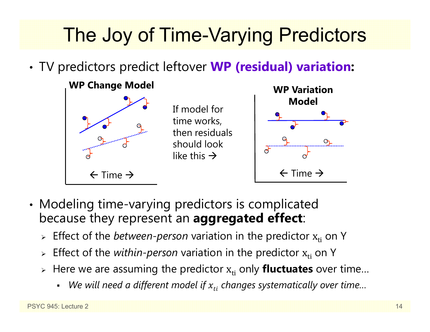## The Joy of Time-Varying Predictors

•TV predictors predict leftover **WP (residual) variation:**



- • Modeling time-varying predictors is complicated because they represent an **aggregated effect**:
	- **Effect of the** *between-person* **variation in the predictor x<sub>ti</sub> on Y**
	- $\triangleright$  Effect of the *within-person* variation in the predictor  $\boldsymbol{\mathrm{x}}_{\text{ti}}$  on Y
	- » Here we are assuming the predictor  $\mathbf{x_{ti}}$  only **fluctuates** over time...
		- We will need a different model if  $x_{t i}$  changes systematically over time…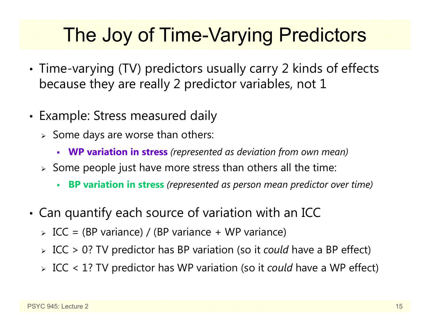## The Joy of Time-Varying Predictors

- • Time-varying (TV) predictors usually carry 2 kinds of effects because they are really 2 predictor variables, not 1
- •• Example: Stress measured daily
	- $\triangleright$  Some days are worse than others:
		- **WP variation in stress** *(represented as deviation from own mean)*
	- $\triangleright$  Some people just have more stress than others all the time:
		- Г **BP variation in stress** *(represented as person mean predictor over time)*
- • Can quantify each source of variation with an ICC
	- ICC = (BP variance) / (BP variance + WP variance)
	- ICC > 0? TV predictor has BP variation (so it *could* have a BP effect)
	- ICC < 1? TV predictor has WP variation (so it *could* have a WP effect)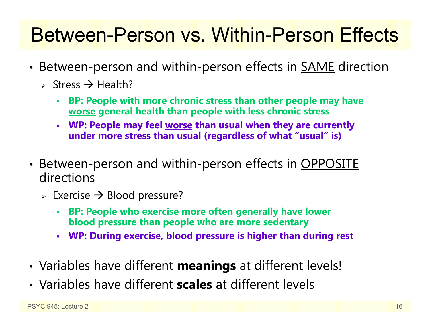## Between-Person vs. Within-Person Effects

- •• Between-person and within-person effects in <u>SAME</u> direction
	- > Stress  $\rightarrow$  Health?
		- **BP: People with more chronic stress than other people may have worse general health than people with less chronic stress**
		- **WP: People may feel worse than usual when they are currently under more stress than usual (regardless of what "usual" is)**
- •• Between-person and within-person effects in OPPOSITE directions
	- $\triangleright$  Exercise  $\rightarrow$  Blood pressure?
		- **BP: People who exercise more often generally have lower blood pressure than people who are more sedentary**
		- **WP: During exercise, blood pressure is higher than during rest**
- •Variables have different **meanings** at different levels!
- Variables have different **scales** at different levels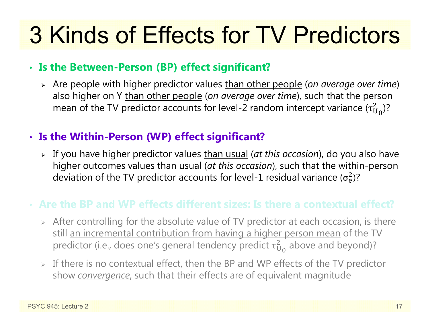# 3 Kinds of Effects for TV Predictors

#### • **Is the Between-Person (BP) effect significant?**

 Are people with higher predictor values than other people (*on average over time*) also higher on Y than other people (*on average over time*), such that the person mean of the TV predictor accounts for level-2 random intercept variance (τ $_{\rm U}^2$  $^{2}_{\text{U}_0}$ )?

### • **Is the Within-Person (WP) effect significant?**

 If you have higher predictor values than usual (*at this occasion*), do you also have higher outcomes values than usual (*at this occasion*), such that the within-person deviation of the TV predictor accounts for level-1 residual variance ( $\sigma_{\rm e}^2$ )?

### **Are the BP and WP effects different sizes: Is there a contextual effect?**

- $\triangleright$  After controlling for the absolute value of TV predictor at each occasion, is there still an incremental contribution from having a higher person mean of the TV predictor (i.e., does one's general tendency predict  $\tau^2_{\mathrm{U}}$  $^2_{\rm U_0}$  above and beyond)?
- $\triangleright$  If there is no contextual effect, then the BP and WP effects of the TV predictor show *convergence*, such that their effects are of equivalent magnitude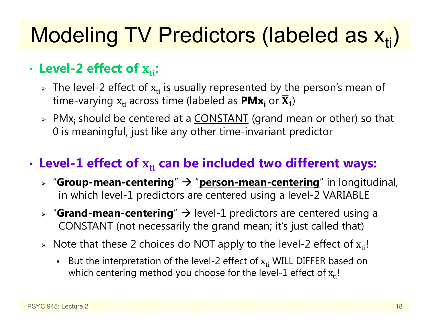# Modeling TV Predictors (labeled as  $\mathsf{x}_{\mathsf{ti}}$ )

### • Level-2 effect of  $\boldsymbol{\mathrm{x_{ti}}}$ :

- $\triangleright$  The level-2 effect of  $\mathrm{x_{ti}}$  is usually represented by the person's mean of time-varying  $\boldsymbol{\mathrm{x}}_\text{ti}$  across time (labeled as  $\boldsymbol{\mathsf{PMx}_\text{i}}$  or  $\boldsymbol{\overline{\mathrm{X}}}_\text{i})$
- > PMx<sub>i</sub> should be centered at a <u>CONSTANT</u> (grand mean or other) so that 0 is meaningful, just like any other time-invariant predictor

### $\cdot$  Level-1 effect of  $\mathbf{x}_{\text{ti}}$  can be included two different ways:

- **▷ "Group-mean-centering" → "<u>person-mean-centering</u>" in longitudinal,** in which level-1 predictors are centered using a level-2 VARIABLE
- **▷ "Grand-mean-centering**" → level-1 predictors are centered using a CONSTANT (not necessarily the grand mean; it's just called that)
- $\triangleright$  Note that these 2 choices do NOT apply to the level-2 effect of  $\rm x_{ti}!$ 
	- **But the interpretation of the level-2 effect of**  $x_{ti}$  **WILL DIFFER based on** which centering method you choose for the level-1 effect of  $\rm x_{ti}$ !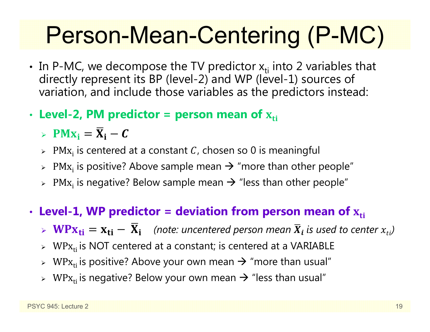# Person-Mean-Centering (P-MC)

- In P-MC, we decompose the TV predictor  $x_{ti}$  into 2 variables that directly represent its BP (level-2) and WP (level-1) sources of variation, and include those variables as the predictors instead:
- •• Level-2, PM predictor = person mean of  $\mathbf{x}_{\text{ti}}$ 
	- >  $PMx_i = \overline{X}_i C$
	- $\triangleright$  PM $\mathrm{x_i}$  is centered at a constant  $\mathcal C$ , chosen so 0 is meaningful
	- $\triangleright$  PM $\mathrm{x_i}$  is positive? Above sample mean  $\rightarrow$  "more than other people"
	- $\triangleright$  PM $\mathrm{x_i}$  is negative? Below sample mean  $\rightarrow$  "less than other people"
- •• Level-1, WP predictor = deviation from person mean of  $\boldsymbol{\mathrm{x}}_\text{ti}$ 
	- $\triangleright \ \mathbf{W} \mathbf{P} \mathbf{x_{ti}} = \mathbf{x_{ti}} \overline{\mathbf{X}}_i$  (note: uncentered person mean  $\overline{X}_i$  is used to center  $x_{ti}$ )
	- $\triangleright$  WP $\rm x_{ti}$  is NOT centered at a constant; is centered at a VARIABLE
	- $\triangleright$  WP $\rm x_{ti}$  is positive? Above your own mean  $\rightarrow$  "more than usual"
	- $\triangleright$  WP $\rm x_{ti}$  is negative? Below your own mean  $\rightarrow$  "less than usual"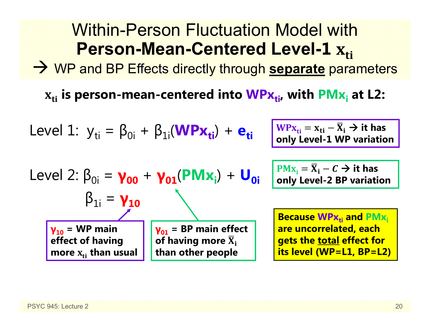#### Within-Person Fluctuation Model with**Person-Mean-Centered Level-1∸ <u>A</u>ti**

WP and BP Effects directly through **separate** parameters

 $\mathbf{x_{ti}}$  is person-mean-centered into  $\mathbf{WPx_{ti}}$ , with  $\mathbf{PMx_i}$  at L2:

Level 1: 
$$
y_{ti} = \beta_{0i} + \beta_{1i}(\mathbf{W} \mathbf{P} \mathbf{x}_{ti}) + \mathbf{e}_{ti}
$$

$$
\frac{\mathbf{W} \mathbf{P} \mathbf{x}_{ti}}{\mathbf{M} \mathbf{P} \mathbf{X}_{ti}} = \mathbf{x}_{ti} - \overline{\mathbf{X}}_i \rightarrow \text{it has}
$$
 only Level-1 WP variation

Level 2: 
$$
\beta_{0i} = \gamma_{00} + \gamma_{01}(\text{PMx}_{i}) + U_{0i}
$$

\n $\beta_{1i} = \gamma_{10}$ 

\n $\gamma_{10} = \text{WP main}$ 

\n $\gamma_{01} = \text{BP main effect}$ 

\neffect of having more  $\overline{x}_{i}$  than other people

 $PMx_i = \overline{X}_i - C \rightarrow it$  has **only Level-2 BP variation**

**Because WPx<sub>ti</sub> and PMx**<sub>i</sub> **are uncorrelated, each gets the total effect for its level (WP=L1, BP=L2)**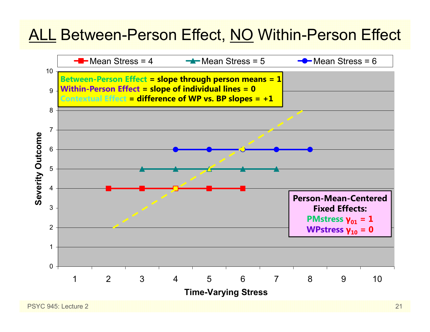### ALL Between-Person Effect, NO Within-Person Effect

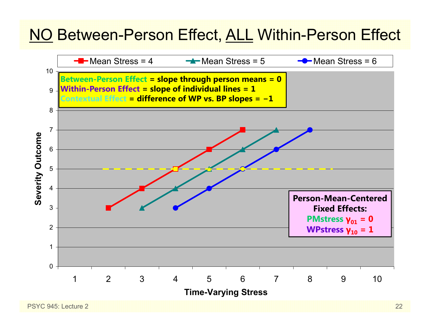### NO Between-Person Effect, ALL Within-Person Effect

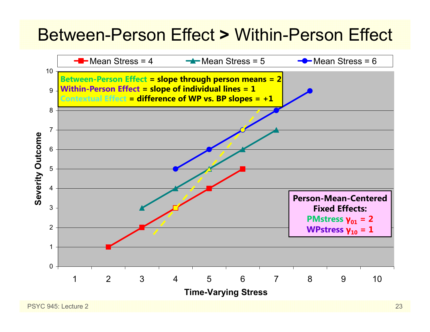## Between-Person Effect **>** Within-Person Effect

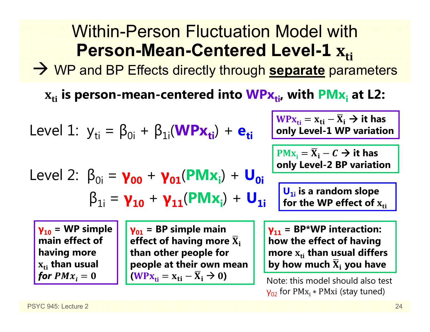#### Within-Person Fluctuation Model with**Person-Mean-Centered Level-1E** A<sub>ti</sub>

WP and BP Effects directly through **separate** parameters

 $\mathbf{x_{ti}}$  is person-mean-centered into  $\mathbf{WPx_{ti}}$ , with  $\mathbf{PMx_i}$  at L2:

Level 1: 
$$
y_{ti} = \beta_{0i} + \beta_{1i}(\text{WPx}_{ti}) + \mathbf{e}_{ti}
$$

\nLevel 2:  $\beta_{0i} = \gamma_{00} + \gamma_{01}(\text{PMX}_{i}) + \mathbf{U}_{0i}$ 

\nLevel 3:  $\beta_{1i} = \gamma_{10} + \gamma_{11}(\text{PMX}_{i}) + \mathbf{U}_{0i}$ 

\nRule 4:  $\beta_{1i} = \gamma_{10} + \gamma_{11}(\text{PMX}_{i}) + \mathbf{U}_{1i}$ 

\nOutput

\nExample 5:  $\beta_{1i} = \gamma_{10} + \gamma_{11}(\text{PMX}_{i}) + \mathbf{U}_{1i}$ 

\nOutput

\nExample 6:  $\beta_{1i} = \gamma_{10} + \gamma_{11}(\text{PMX}_{i}) + \mathbf{U}_{1i}$ 

\nExample 6:  $\beta_{1i} = \gamma_{10} + \gamma_{11}(\text{PMX}_{i}) + \mathbf{U}_{1i}$ 

\nExample 7:  $\beta_{1i} = \gamma_{10} + \gamma_{11}(\text{PMX}_{i}) + \mathbf{U}_{1i}$ 

\nExample 8:  $\beta_{1i} = \gamma_{10} + \gamma_{11}(\text{PMX}_{i}) + \mathbf{U}_{1i}$ 

\nExample 1:  $\beta_{1i} = \gamma_{10} + \gamma_{11}(\text{PMX}_{i}) + \mathbf{U}_{1i}$ 

\nExample 1:  $\beta_{1i} = \gamma_{10} + \gamma_{11}(\text{PMX}_{i}) + \mathbf{U}_{1i}$ 

\nExample 1:  $\beta_{1i} = \gamma_{10} + \gamma_{11}(\text{PMX}_{i}) + \mathbf{U}_{1i}$ 

\nExample 1:  $\beta_{1i} = \gamma_{10} + \gamma_{11}(\text{PMX}_{i}) + \mathbf{U}_{1i}$ 

\nExample 1:  $\beta_{1i} = \gamma_{10} + \gamma_{11}(\text{PMX}_{i}) + \mathbf{U}_{1i}$ 

**γ10 = WP simple main effect of having more**   $\mathbf{x}_{\text{ti}}$  than usual for  $PMx_{\widetilde{t}}=0$ 

**γ01 = BP simple main**  effect of having more  $\overline{\mathbf{X}}_\text{i}$ **than other people for people at their own mean**   $(WPx_{ti} = x_{ti} - \overline{X}_i \rightarrow 0)$ 

**γ11 = BP\*WP interaction: how the effect of having more**  ܜܠܑ **than usual differs by how much**  ܆ഥܑ **you have**

Note: this model should also test γ<sub>02</sub> for PMx<sub>i</sub> ∗ PMxi (stay tuned)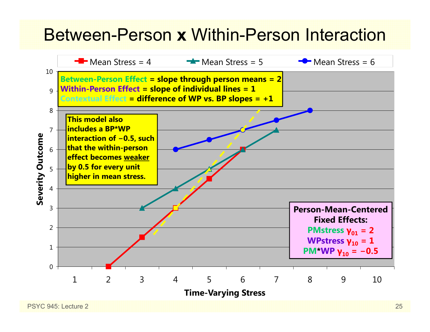## Between-Person **x** Within-Person Interaction

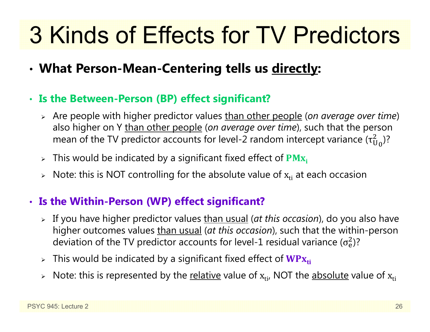# 3 Kinds of Effects for TV Predictors

- •**What Person-Mean-Centering tells us directly:**
- **Is the Between-Person (BP) effect significant?**
	- Are people with higher predictor values than other people (*on average over time*) also higher on Y than other people (*on average over time*), such that the person mean of the TV predictor accounts for level-2 random intercept variance (τ $_{\rm U}^2$  $^2_{\rm U_0}$ )?
	- $\triangleright$  This would be indicated by a significant fixed effect of  $\mathbf{PMx_i}$
	- $\triangleright$   $\,$  Note: this is NOT controlling for the absolute value of  $\rm x_{ti}$  at each occasion

### • **Is the Within-Person (WP) effect significant?**

- If you have higher predictor values than usual (*at this occasion*), do you also have higher outcomes values than usual (*at this occasion*), such that the within-person deviation of the TV predictor accounts for level-1 residual variance ( $\sigma_{\rm e}^2$ )?
- $\triangleright$  This would be indicated by a significant fixed effect of  $\mathbf{W}\mathbf{P}\mathbf{x}_{\mathsf{ti}}$
- $\triangleright$  Note: this is represented by the <u>relative</u> value of  $\boldsymbol{\mathrm{x}}_{\text{ti'}}$  NOT the <u>absolute</u> value of  $\boldsymbol{\mathrm{x}}_{\text{ti}}$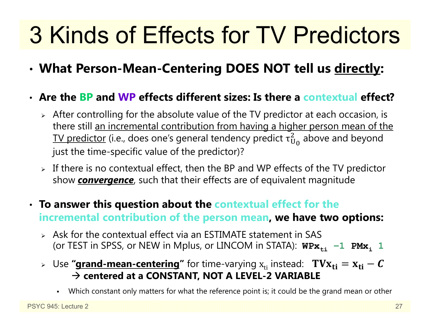# 3 Kinds of Effects for TV Predictors

•**What Person-Mean-Centering DOES NOT tell us directly:**

#### • **Are the BP and WP effects different sizes: Is there a contextual effect?**

- $\triangleright$  After controlling for the absolute value of the TV predictor at each occasion, is there still an incremental contribution from having a higher person mean of the TV predictor (i.e., does one's general tendency predict  $\tau^2_{\mathrm{U}}$  $_{\rm U_0}^2$  above and beyond just the time-specific value of the predictor)?
- $\triangleright$  If there is no contextual effect, then the BP and WP effects of the TV predictor show *convergence*, such that their effects are of equivalent magnitude
- **To answer this question about the contextual effect for the incremental contribution of the person mean, we have two options:**
	- $\triangleright$  Ask for the contextual effect via an ESTIMATE statement in SAS (or TEST in SPSS, or NEW in Mplus, or LINCOM in STATA):  $W\text{Px}_{\text{t}i}\text{ −}1\text{ PMX}_i$  1
	- ⊳ Use **"<u>grand-mean-centering</u>"** for time-varying  $\boldsymbol{\mathrm{x}}_{\text{ti}}$  instead:  $\textbf{ T}\textbf{V}\textbf{X}_{\textbf{ti}} = \textbf{x}_{\textbf{ti}} \textbf{\textit{C}}$  **centered at a CONSTANT, NOT A LEVEL-2 VARIABLE**
		- Which constant only matters for what the reference point is; it could be the grand mean or other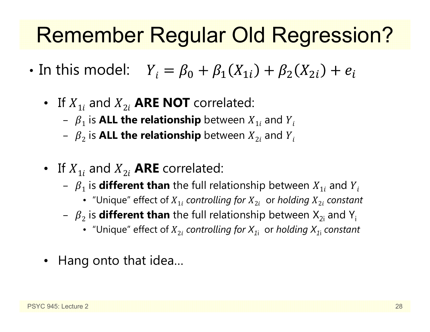## Remember Regular Old Regression?

- •• In this model:  $Y_i = \beta_0 + \beta_1(X_{1i}) + \beta_2(X_{2i}) + e_i$ 
	- If  $X_{1i}$  and  $X_{2i}$  **ARE NOT** correlated:
		- $\beta_1$  is **ALL the relationship** between  $X_{1i}$  and  $Y_i$
		- $\ { \beta}_2$  is <code>ALL</code> the relationship <code>between</code>  $X_{2i}$  and  $Y_i$
	- If  $X_{1i}$  and  $X_{2i}$  **ARE** correlated:
		- $\ \beta_{1}$  is **different than** the full relationship between  $X_{1i}$  and  $Y_{i}$ 
			- "Unique" effect of  $X_{1i}$  *controlling for*  $X_{2i}$  *or holding*  $X_{2i}$  *constant*
		- $\, \beta_{\,2} \,$  is  $\,$  different than the full relationship between  $\rm X_{2i}$  and  $\rm Y_{i}$ 
			- "Unique" effect of ܺ2݅ *controlling for X1*<sup>i</sup> or *holding X1*<sup>i</sup> *constant*
	- Hang onto that idea…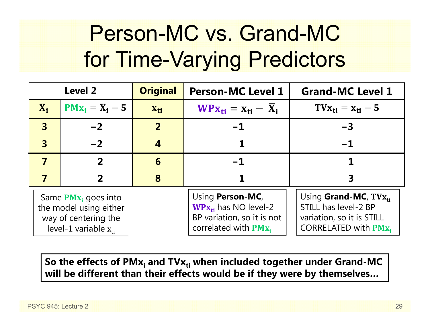## Person-MC vs. Grand-MC for Time-Varying Predictors

|                           | <b>Level 2</b>                                                                                        | <b>Original</b> | <b>Person-MC Level 1</b>                                                                                       | <b>Grand-MC Level 1</b>                                                                                              |
|---------------------------|-------------------------------------------------------------------------------------------------------|-----------------|----------------------------------------------------------------------------------------------------------------|----------------------------------------------------------------------------------------------------------------------|
| $\overline{\mathbf{X}}_i$ | $PMx_i = \overline{X}_i - 5$                                                                          | $X_{ti}$        | $WPX_{ti} = X_{ti} - X_i$                                                                                      | $T V_{\rm X_{ti}} = X_{\rm ti} - 5$                                                                                  |
| $\overline{3}$            | $-2$                                                                                                  | $\overline{2}$  | $-1$                                                                                                           | $-3$                                                                                                                 |
| $\overline{\mathbf{3}}$   | $-2$                                                                                                  |                 |                                                                                                                | $-1$                                                                                                                 |
|                           | 2                                                                                                     | 6               | $-1$                                                                                                           |                                                                                                                      |
|                           |                                                                                                       | 8               |                                                                                                                |                                                                                                                      |
|                           | Same $PMx_i$ goes into<br>the model using either<br>way of centering the<br>level-1 variable $x_{ti}$ |                 | Using <b>Person-MC</b> ,<br>$WPx_{ti}$ has NO level-2<br>BP variation, so it is not<br>correlated with $PMx_i$ | Using <b>Grand-MC</b> , $T V x_{ti}$<br>STILL has level-2 BP<br>variation, so it is STILL<br>CORRELATED with $PMX_i$ |

So the effects of PMx<sub>i</sub> and TVx<sub>ti</sub> when included together under Grand-MC **will be different than their effects would be if they were by themselves…**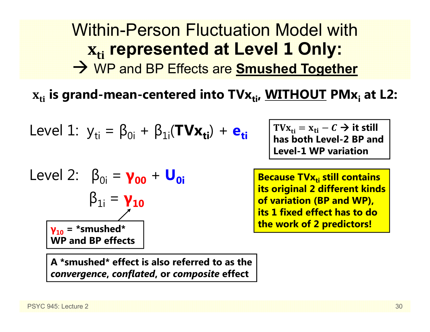## Within-Person Fluctuation Model withܜܑ **represented at Level 1 Only:** WP and BP Effects are **Smushed Together**

 $\mathbf{x_{ti}}$  is grand-mean-centered into  $\mathbf{T}\mathbf{V}\mathbf{x_{ti}}$ ,  $\mathbf{W}\mathbf{I}\mathbf{T}\mathbf{H}\mathbf{O}\mathbf{U}\mathbf{T}$   $\mathbf{P}\mathbf{M}\mathbf{x_i}$  at <code>L2:</code>

Level 1: 
$$
y_{ti} = \beta_{0i} + \beta_{1i}(\text{TVx}_{ti}) + e_{ti}
$$

Level 2: 
$$
\beta_{0i} = \gamma_{00} + U_{0i}
$$

\n $\beta_{1i} = \gamma_{10}$ 

\n $\gamma_{10} = \text{``smushed''}$ 

\nWP and BP effects

 $\text{TVx}_{\text{ti}} = \text{x}_{\text{ti}} - \textcal{C} \rightarrow \text{it still}$ **has both Level-2 BP and Level-1 WP variation** 

**Because TVx<sub>ti</sub> still contains**  $\blacksquare$ **its original 2 different kinds of variation (BP and WP), its 1 fixed effect has to do the work of 2 predictors!**

**A \*smushed\* effect is also referred to as the**  *convergence***,** *conflated***, or** *composite* **effect**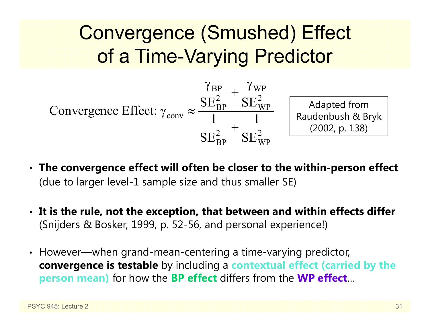## Convergence (Smushed) Effect of a Time-Varying Predictor



- **The convergence effect will often be closer to the within-person effect** (due to larger level-1 sample size and thus smaller SE)
- **It is the rule, not the exception, that between and within effects differ** (Snijders & Bosker, 1999, p. 52-56, and personal experience!)
- However—when grand-mean-centering a time-varying predictor, **convergence is testable** by including a **contextual effect (carried by the person mean)** for how the **BP effect** differs from the **WP effect** …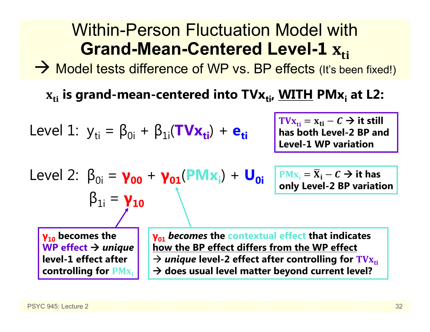#### Within-Person Fluctuation Model with**Grand-Mean-Centered Level-1** $\Lambda_{ti}$

→ Model tests difference of WP vs. BP effects (It's been fixed!)

 $\mathbf{x_{ti}}$  is grand-mean-centered into TV $\mathbf{x_{ti}}$ , <u>WITH</u> PM $\mathbf{x_i}$  at L2:

Level 1: 
$$
y_{ti} = \beta_{0i} + \beta_{1i}(\mathbf{TV} \mathbf{x}_{ti}) + \mathbf{e}_{ti}
$$

 $\text{TVx}_{\text{ti}} = \text{x}_{\text{ti}} - C \rightarrow \text{it still}$ **has both Level-2 BP and Level-1 WP variation** 

Level 2: 
$$
\beta_{0i} = \gamma_{00} + \gamma_{01}(PMx_i) + U_{0i}
$$
  
 $\beta_{1i} = \gamma_{10}$ 

 $\overline{\text{PMx}}_i = \overline{\text{X}}_i - \textit{C} \rightarrow \text{it has}$ **only Level-2 BP variation**

**γ10 becomes the WP effect** *unique* **level-1 effect after controlling for PM**<sub>X<sub>i</sub></sub> **γ01** *becomes* **the contextual effect that indicates how the BP effect differs from the WP effect**  → *unique* level-2 effect after controlling for  $\text{TVx}_{\text{t}i}$ **does usual level matter beyond current level?**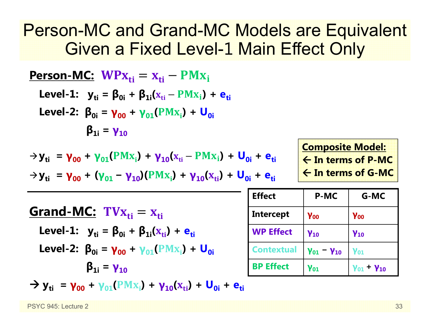## Person-MC and Grand-MC Models are Equivalent Given a Fixed Level-1 Main Effect Only

| <b>Person-MC:</b> $WPx_{ti} = x_{ti} - PMx_i$                                                                   |
|-----------------------------------------------------------------------------------------------------------------|
| Level-1: $y_{ti} = \beta_{0i} + \beta_{1i}(x_{ti} - PMx_i) + e_{ti}$                                            |
| Level-2: $\beta_{0i} = \gamma_{00} + \gamma_{01}(PMx_i) + U_{0i}$                                               |
| $\beta_{1i} = \gamma_{10}$                                                                                      |
| $\rightarrow y_{ti} = \gamma_{00} + \gamma_{01}(PMx_i) + \gamma_{10}(x_{ti} - PMx_i) + U_{0i} + e_{ti}$         |
| $\rightarrow y_{ti} = \gamma_{00} + (\gamma_{01} - \gamma_{10})(PMx_i) + \gamma_{10}(x_{ti}) + U_{0i} + e_{ti}$ |
| <b>Grand-MC:</b> $TVx_{ti} = x_{ti}$                                                                            |
| <b>Grad-MC:</b> $TVx_{ti} = x_{ti}$                                                                             |
| Level-1: $y_{ti} = \beta_{0i} + \beta_{1i}(x_{ti}) + e_{ti}$                                                    |
| Level-2: $\beta_{0i} = \gamma_{00} + \gamma_{01}(PMx_i) + U_{0i}$                                               |
| $\beta_{1i} = \gamma_{10}$                                                                                      |

 $\rightarrow$  **y**<sub>ti</sub> =  $\gamma_{00}$  +  $\gamma_{01}$ (PM<sub>X<sub>i</sub>)</sub> +  $\gamma_{10}$ (<sub>X<sub>ti</sub>) + U<sub>0i</sub> + e<sub>ti</sub></sub>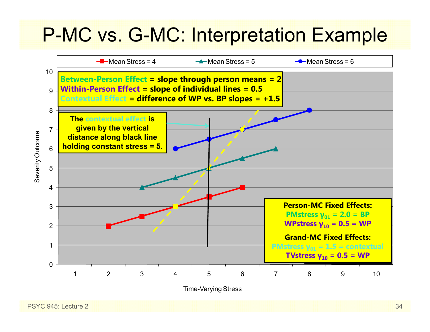## P-MC vs. G-MC: Interpretation Example

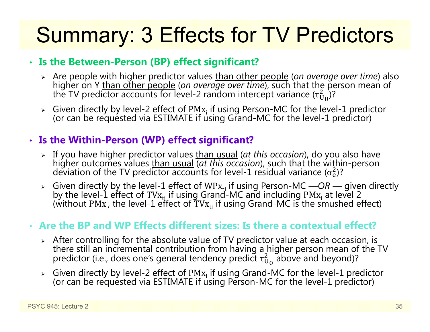# Summary: 3 Effects for TV Predictors

#### • **Is the Between-Person (BP) effect significant?**

- > Are people with higher predictor values than other people (on average over time) also higher on Y than other people (*on average over time*), such that the person mean of the TV predictor accounts for level-2 random intercept variance ( $\tau_{\mathrm{U}}^2$  $\binom{2}{10}$ ?
- $\triangleright$  Given directly by level-2 effect of PM $\rm{x_i}$ (or can be requested via ESTIMATE if using Grand-MC for the level-1 predictor)

### • **Is the Within-Person (WP) effect significant?**

- > If you have higher predictor values than usual (at this occasion), do you also have higher outcomes values than usual *(at this occasion)*, such that the within-person  $\sigma_{\rm e}^2$ )?
- Given directly by the level-1 effect of WPx<sub>ti</sub> if using Person-MC —*OR* given directly by the level-1 effect of TVx<sub>ti</sub> if using Grand-MC and including PMx<sub>i</sub> at level 2 by the level-1 effect of TVx<sub>ti</sub> if using Grand-MC and including PMx<sub>i</sub> at level 2<br>(without PMx<sub>i</sub>, the level-1 effect of TVx<sub>ti</sub> if using Grand-MC is the smushed effect)

#### • **Are the BP and WP Effects different sizes: Is there a contextual effect?**

- $\triangleright$  After controlling for the absolute value of TV predictor value at each occasion, is there still an incremental contribution from having a higher person mean of the TV predictor (i.e., does one's general tendency predict  $\tau_\mathrm{U}^2$  $_{\rm U_0}^2$  above and beyond)?
- $\triangleright$  Given directly by level-2 effect of PM $\mathbf{x_i}$  if using Grand-MC for the level-1 predictor (or can be requested via ESTIMATE if using Person-MC for the level-1 predictor)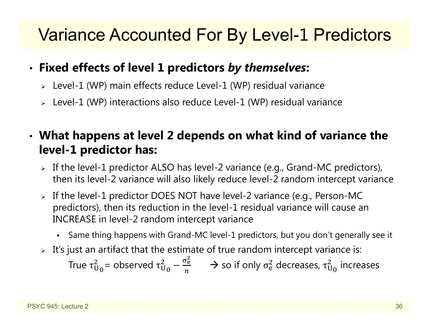## Variance Accounted For By Level-1 Predictors

#### •**Fixed effects of level 1 predictors** *by themselves***:**

- Level-1 (WP) main effects reduce Level-1 (WP) residual variance
- Level-1 (WP) interactions also reduce Level-1 (WP) residual variance

#### • **What happens at level 2 depends on what kind of variance the level-1 predictor has:**

- $\triangleright$  If the level-1 predictor ALSO has level-2 variance (e.g., Grand-MC predictors), then its level-2 variance will also likely reduce level-2 random intercept variance
- If the level-1 predictor DOES NOT have level-2 variance (e.g., Person-MC predictors), then its reduction in the level-1 residual variance will cause an INCREASE in level-2 random intercept variance
	- Same thing happens with Grand-MC level-1 predictors, but you don't generally see it
- $\triangleright$   $\,$  It's just an artifact that the estimate of true random intercept variance is:

True  $\tau^{\scriptscriptstyle\mathcal{L}}_\mathsf{U}$  $^2_\mathrm{U_0}$ = observed τ $^2_\mathrm{U}$ 2<br>Սօ —  $\sigma_{\rm e}$ మ п  $\rightarrow$  so if only  $\sigma_{\rm e}^2$  $_{\rm e}^2$  decreases,  $\tau_{\rm U}^2$  $_{\rm U_{\rm 0}}^{2}$  increases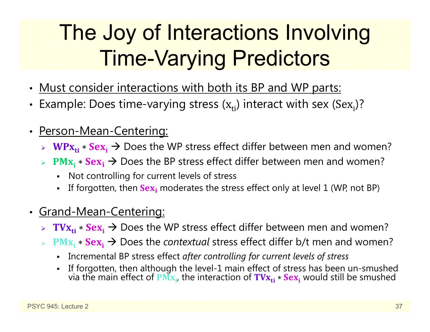# The Joy of Interactions Involving Time-Varying Predictors

- Must consider interactions with both its BP and WP parts:
- Example: Does time-varying stress  $(x_{ti})$  interact with sex  $(Sex_{i})$ ?
- $\bullet$  Person-Mean-Centering:
	- $\triangleright$  WPx<sub>ti</sub>  $*$  Sex<sub>i</sub>  $\rightarrow$  Does the WP stress effect differ between men and women?
	- $\triangleright$  PM<sub>X<sub>i</sub>  $\ast$  Sex<sub>i</sub> → Does the BP stress effect differ between men and women?</sub>
		- $\mathbf{r}$ Not controlling for current levels of stress
		- n If forgotten, then  $Sex_i$  moderates the stress effect only at level 1 (WP, not BP)
- Grand-Mean-Centering:
	- $\triangleright$   $\mathbf{TVx_{ti}} * \mathbf{Sex_i} \rightarrow$  Does the WP stress effect differ between men and women?
	- $\Diamond$  PM<sub>X<sub>i</sub> \* Sex<sub>i</sub> → Does the *contextual* stress effect differ b/t men and women?</sub>
		- Incremental BP stress effect *after controlling for current levels of stress*
		- n If forgotten, then although the level-1 main effect of stress has been un-smushed<br>via the main effect of PM<sub>X<sub>i</sub>, the interaction of TV<sub>X<sub>ti</sub> ∗ Sex<sub>i</sub> would still be smushed</sub></sub>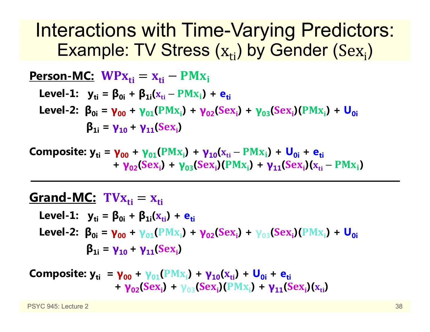## Interactions with Time-Varying Predictors: Example: TV Stress  $\left(\mathrm{x}_{\mathrm{ti}}\right)$  by Gender (Se $\mathrm{x}_{\mathrm{i}}$ )

| Person-MC: $WPx_{ti} = x_{ti} - PMx_i$                                                                             |
|--------------------------------------------------------------------------------------------------------------------|
| Level-1: $y_{ti} = \beta_{0i} + \beta_{1i}(x_{ti} - PMx_i) + e_{ti}$                                               |
| Level-2: $\beta_{0i} = \gamma_{00} + \gamma_{01}(PMx_i) + \gamma_{02}(Sex_i) + \gamma_{03}(Sex_i)(PMx_i) + U_{0i}$ |
| $\beta_{1i} = \gamma_{10} + \gamma_{11}(Sex_i)$                                                                    |

**Composite: y<sub>ti</sub> = γ<sub>00</sub> + γ<sub>01</sub>(PMx<sub>i</sub>) + γ<sub>10</sub>(x<sub>ti</sub> – PMx<sub>i</sub>) + U<sub>0i</sub> + e<sub>ti</sub> + γ**<sub>02</sub>(Sex<sub>i</sub>) + **γ**<sub>03</sub>(Sex<sub>i</sub>)(PMx<sub>i</sub>) + **γ**<sub>11</sub>(Sex<sub>i</sub>)(x<sub>ti</sub> – PMx<sub>i</sub>)

### **Grand-MC:** ܜܠ܄܂ܑൌ ܑܜܠ

Level-1: 
$$
y_{ti} = \beta_{0i} + \beta_{1i}(x_{ti}) + e_{ti}
$$

\nLevel-2: 
$$
\beta_{0i} = \gamma_{00} + \gamma_{01}(PMx_i) + \gamma_{02}(Sex_i) + \gamma_{03}(Sex_i)(PMx_i) + U_{0i}
$$

\n
$$
\beta_{1i} = \gamma_{10} + \gamma_{11}(Sex_i)
$$

 ${\bf Composite:}$   ${\bf y_{ti}}$  =  ${\bf \gamma_{00}}$  +  ${\bf \gamma_{01}}({\rm PMx_{i}})$  +  ${\bf \gamma_{10}}({\rm x_{ti}})$  +  ${\bf \sf U_{0i}}$  +  ${\bf e_{ti}}$ **+ γ**<sub>02</sub>(Sex<sub>i</sub>) + γ<sub>03</sub>(Sex<sub>i</sub>)(PMx<sub>i</sub>) + γ<sub>11</sub>(Sex<sub>i</sub>)(x<sub>ti</sub>)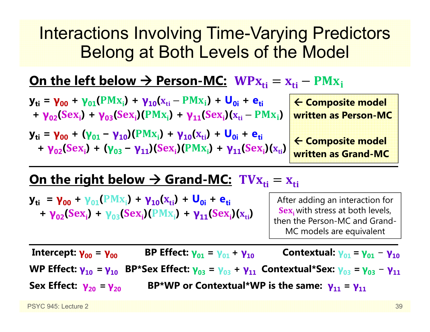## Interactions Involving Time-Varying Predictors Belong at Both Levels of the Model

### <u>On the left below → Person-MC: WPx<sub>ti</sub> = x<sub>ti</sub> – PMx<sub>i</sub></u>

| $y_{ti} = \gamma_{00} + (\gamma_{01} - \gamma_{10})(PMx_i) + \gamma_{10}(x_{ti}) + U_{0i} + e_{ti}$ | $\overline{z}$ |
|-----------------------------------------------------------------------------------------------------|----------------|

**yti <sup>=</sup> γ00 + (γ<sup>01</sup> <sup>+</sup>**  $\mathbf{e}_{\mathbf{t} \mathbf{i}}$  $+ \gamma_{02}(Sex_i) + (\gamma_{03} - \gamma_{11})(Sex_i)(PMx_i) + \gamma_{11}(Sex_i)(x_{ti})$ 

 **Composite model Person-MC** 

 **Composite model written as Grand-MC**

### <u> On the right below → Grand-MC: TV $\boldsymbol{\mathrm{x}}_{\text{ti}} = \boldsymbol{\mathrm{x}}_{\text{ti}}$ </u>

 ${\bf y_{ti}}$  =  ${\bf y_{00}}$  +  ${\bf y_{01}}$ ( ${\bf PMx_i}$ ) +  ${\bf y_{10}}$ ( ${\bf x_{ti}}$ ) +  ${\bf U_{0i}}$  +  ${\bf e_{ti}}$ **+ γ**<sub>02</sub>(Sex<sub>i</sub>) + γ<sub>03</sub>(Sex<sub>i</sub>)(PMx<sub>i</sub>) + γ<sub>11</sub>(Sex<sub>i</sub>)(x<sub>ti</sub>)

After adding an interaction for  ${\bf Sex}_{\bf i}$  with stress at both levels, then the Person-MC and Grand-MC models are equivalent

**Intercept: γ00 <sup>=</sup> γ00 BP Effect: γ01= γ01+ γ10Contextual: γ**<sub>01</sub> = **γ**<sub>01</sub> − **γ**<sub>10</sub> **WP Effect: γ10 = γ10 BP\*Sex Effect: γ03 <sup>=</sup> γ03 + γ11 Contextual\*Sex: γ03 = γ03** − **γ11 Sex Effect: γ20= γ20BP\*WP or Contextual\*WP is the same: γ11 <sup>=</sup> γ11**

PSYC 945: Lecture 2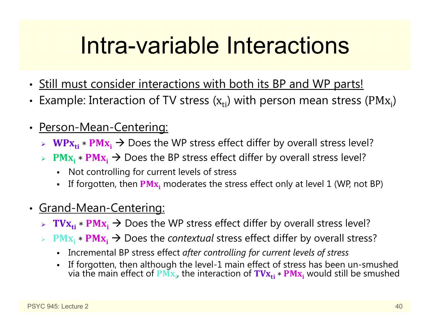# Intra-variable Interactions

- Still must consider interactions with both its BP and WP parts!
- •• Example: Interaction of TV stress  $(x_{ti})$  with person mean stress (PM $x_i$ )
- $\bullet$  Person-Mean-Centering:
	- $\triangleright$  WPx<sub>ti</sub>  $\ast$  PMx<sub>i</sub> → Does the WP stress effect differ by overall stress level?
	- $\triangleright$  PM<sub>X<sub>i</sub>  $\ast$  PM<sub>X<sub>i</sub></sub> → Does the BP stress effect differ by overall stress level?</sub>
		- Not controlling for current levels of stress
		- n **-** If forgotten, then  $\overline{PMx_i}$  moderates the stress effect only at level 1 (WP, not BP)
- Grand-Mean-Centering:
	- $▶$  TV $\mathbf{x_{ti}} * \mathbf{P} \mathbf{M} \mathbf{x_i} \rightarrow \mathbf{D}$ oes the WP stress effect differ by overall stress level?
	- **► PM<sub>X<sub>i</sub> \* PM<sub>X<sub>i</sub> → Does the** *contextual* **stress effect differ by overall stress?**</sub></sub>
		- Incremental BP stress effect *after controlling for current levels of stress*
		- n If forgotten, then although the level-1 main effect of stress has been un-smushed<br>via the main effect of PM<sub>X<sub>i</sub>, the interaction of TV<sub>X<sub>ti</sub> ∗ PM<sub>X<sub>i</sub></sub> would still be smushed</sub></sub>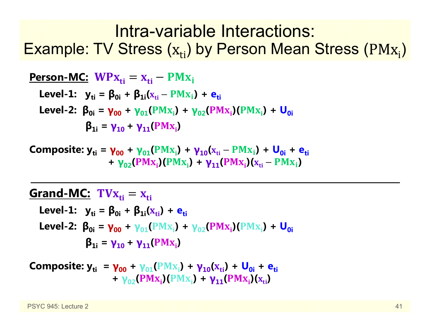## Intra-variable Interactions: Example: TV Stress  $\rm (x_{ti})$  by Person Mean Stress (PM $\rm x_{i})$

| Person-MC: $WPx_{ti} = x_{ti} - PMx_i$                                                        |
|-----------------------------------------------------------------------------------------------|
| Level-1: $y_{ti} = \beta_{0i} + \beta_{1i}(x_{ti} - PMx_i) + e_{ti}$                          |
| Level-2: $\beta_{0i} = \gamma_{00} + \gamma_{01}(PMx_i) + \gamma_{02}(PMx_i)(PMx_i) + U_{0i}$ |
| $\beta_{1i} = \gamma_{10} + \gamma_{11}(PMx_i)$                                               |

**Composite: y<sub>ti</sub> = γ<sub>00</sub> + γ<sub>01</sub>(PMx<sub>i</sub>) + γ<sub>10</sub>(x<sub>ti</sub> – PMx<sub>i</sub>) + U<sub>0i</sub> + e<sub>ti</sub> + γ**<sub>02</sub>(PMx<sub>i</sub>)(PMx<sub>i</sub>) + **γ**<sub>11</sub>(PMx<sub>i</sub>)(x<sub>ti</sub> – PMx<sub>i</sub>)

#### **Grand-MC:** ܜܠ܄܂ܑൌ ܑܜܠ

Level-1: 
$$
y_{ti} = \beta_{0i} + \beta_{1i}(x_{ti}) + e_{ti}
$$

\nLevel-2: 
$$
\beta_{0i} = \gamma_{00} + \gamma_{01}(PMx_i) + \gamma_{02}(PMx_i)(PMx_i) + U_{0i}
$$

\n
$$
\beta_{1i} = \gamma_{10} + \gamma_{11}(PMx_i)
$$

**Composite:** 
$$
y_{ti} = \gamma_{00} + \gamma_{01}(PMx_i) + \gamma_{10}(x_{ti}) + U_{0i} + e_{ti}
$$
  
+  $\gamma_{02}(PMx_i)(PMx_i) + \gamma_{11}(PMx_i)(x_{ti})$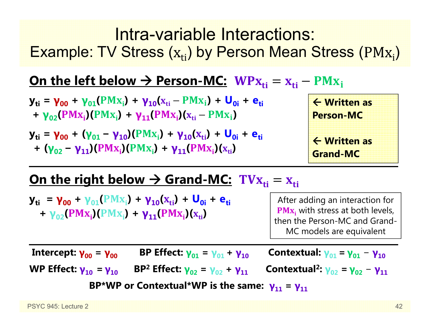### Intra-variable Interactions: Example: TV Stress  $\rm (x_{ti})$  by Person Mean Stress  $\rm (PMx_{i})$

### <u>On the left below → Person-MC: WPx<sub>ti</sub> = x<sub>ti</sub> – PMx<sub>i</sub></u>

- ${\bf y_{ti}}$  =  ${\bf y_{00}}$  +  ${\bf y_{01}} (PM{\bf x_i})$  +  ${\bf y_{10}} ({\bf x_{ti}} PM{\bf x_i})$  +  ${\bf U_{0i}}$  +  ${\bf e_{ti}}$ **+ γ**<sub>02</sub>(PMx<sub>i</sub>)(PMx<sub>i</sub>) + **γ**<sub>11</sub>(PMx<sub>i</sub>)(x<sub>ti</sub> – PMx<sub>i</sub>)
- **y**<sub>ti</sub> = **γ**<sub>00</sub> + (**γ**<sub>01</sub> − **γ**<sub>10</sub>)(PMx<sub>i</sub>) + **γ**<sub>10</sub>(x<sub>ti</sub>) + U<sub>0i</sub> + e<sub>ti</sub> **+** (**γ**<sub>02</sub> – **γ**<sub>11</sub>)(PMx<sub>i</sub>)(PMx<sub>i</sub>) + **γ**<sub>11</sub>(PMx<sub>i</sub>)(x<sub>ti</sub>)



### <u> On the right below → Grand-MC: TV $\boldsymbol{\mathrm{x}}_{\text{ti}} = \boldsymbol{\mathrm{x}}_{\text{ti}}$ </u>

 ${\bf y_{ti}}$  =  ${\bf y_{00}}$  +  ${\bf y_{01}}$ ( ${\bf PMx_i}$ ) +  ${\bf y_{10}}$ ( ${\bf x_{ti}}$ ) +  ${\bf U_{0i}}$  +  ${\bf e_{ti}}$ **+ γ**<sub>02</sub>(PMx<sub>i</sub>)(PMx<sub>i</sub>) + **γ**<sub>11</sub>(PMx<sub>i</sub>)(x<sub>ti</sub>)

After adding an interaction for  $\textbf{PMx}_{i}$  with stress at both levels, then the Person-MC and Grand-MC models are equivalent

**Intercept: γ00 <sup>=</sup> γ BP Effect: γ01= γ01+ γ Contextual: γ01= γ01**− **γWP Effect: γ10 = γ BP 2 Effect: γ02 <sup>=</sup> γ02 + γ**<sub>11</sub> **Contextual<sup>2</sup>:**  $\gamma_{02} = \gamma_{02} - \gamma_{11}$ **BP\*WP or Contextual\*WP is the same: γ11 <sup>=</sup> γ**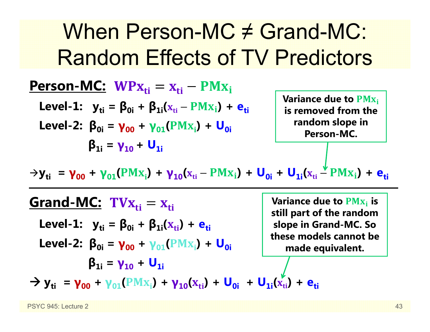## When Person-MC ≠ Grand-MC: Random Effects of TV Predictors

ܑܜ ܑܜ **:MC-Person** ܑ ${\bf L}$ evel-1:  ${\bf y}_{{\bf ti}} = {\bf \beta}_{{\bf 0}{\bf i}} + {\bf \beta}_{{\bf 1}{\bf i}}({\bf x}_{{\bf ti}} - {\bf PMx}_{\bf i}) + {\bf e}_{{\bf ti}}$ **Level-2:**  $\beta_{0i} = \gamma_{00} + \gamma_{01} (PMx_{i}) + U_{0i}$ **β1i <sup>=</sup> γ10 <sup>+</sup> U1iVariance due to PM<sub>X<sub>i</sub></sub> is removed from the random slope in Person-MC.** 

 $\rightarrow$ **y**<sub>ti</sub> = **γ**<sub>00</sub> + **γ**<sub>01</sub>(PMx<sub>i</sub>) + **γ**<sub>10</sub>(x<sub>ti</sub> – PMx<sub>i</sub>) + **U<sub>0i</sub>** + **U<sub>1i</sub>(x<sub>ti</sub> – PMx<sub>i</sub>) + e<sub>ti</sub>** 

<u>Grand-MC:</u> TV $\mathbf{x_{ti}} = \mathbf{x_{ti}}$  ${\sf Level\text{-}1:} \quad {\sf y}_{\sf ti} = {\sf \beta}_{0i} + {\sf \beta}_{1i}({\sf x}_{\sf ti}) + {\sf e}_{\sf ti}$ **Level-2: β0i <sup>=</sup> γ00 <sup>+</sup> γ01 + (**ܑܠۻ۾**) U0iβ1i <sup>=</sup> γ10 <sup>+</sup> U1i** $\rightarrow$  **y**<sub>ti</sub> =  $\gamma_{00}$  +  $\gamma_{01}$ (PMx<sub>i</sub>) +  $\gamma_{10}(x_{ti})$  +  $\mathbf{U}_{0i}$  +  $\mathbf{U}_{1i}(x_{ti})$  +  $\mathbf{e}_{ti}$ **Variance due to**  $\mathbf{PMx_i}$  **is still part of the random slope in Grand-MC. So these models cannot be made equivalent.**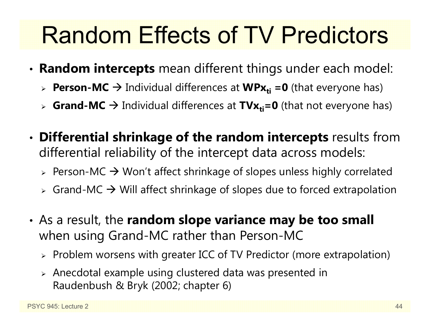# Random Effects of TV Predictors

- • **Random intercepts** mean different things under each model:
	- **► Person-MC →** Individual differences at WPx<sub>ti</sub> =0 (that everyone has)
	- > Grand-MC → Individual differences at TVx<sub>ti</sub>=0 (that not everyone has)
- • **Differential shrinkage of the random intercepts** results from differential reliability of the intercept data across models:
	- $\triangleright$  Person-MC  $\rightarrow$  Won't affect shrinkage of slopes unless highly correlated
	- $\triangleright$  Grand-MC  $\rightarrow$  Will affect shrinkage of slopes due to forced extrapolation
- • As a result, the **random slope variance may be too small** when using Grand-MC rather than Person-MC
	- $\triangleright$  Problem worsens with greater ICC of TV Predictor (more extrapolation)
	- $\triangleright$  Anecdotal example using clustered data was presented in Raudenbush & Bryk (2002; chapter 6)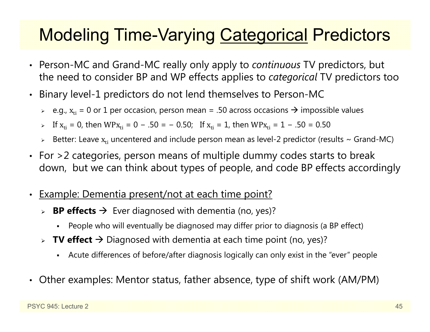## Modeling Time-Varying Categorical Predictors

- • Person-MC and Grand-MC really only apply to *continuous* TV predictors, but the need to consider BP and WP effects applies to *categorical* TV predictors too
- • Binary level-1 predictors do not lend themselves to Person-MC
	- $\triangleright$   $\,$  e.g.,  $\rm x_{ti}$  = 0 or 1 per occasion, person mean = .50 across occasions  $\boldsymbol{\rightarrow}$  impossible values
	- > If  $x_{ti}$  = 0, then WP $x_{ti}$  = 0 − .50 = − 0.50; If  $x_{ti}$  = 1, then WP $x_{ti}$  = 1 − .50 = 0.50
	- $\triangleright$  Better: Leave  $\rm x_{ti}$  uncentered and include person mean as level-2 predictor (results ~ Grand-MC)
- $\bullet$  For >2 categories, person means of multiple dummy codes starts to break down, but we can think about types of people, and code BP effects accordingly
- •Example: Dementia present/not at each time point?
	- **► BP effects →** Ever diagnosed with dementia (no, yes)?
		- Г People who will eventually be diagnosed may differ prior to diagnosis (a BP effect)
	- **► TV effect →** Diagnosed with dementia at each time point (no, yes)?
		- Г Acute differences of before/after diagnosis logically can only exist in the "ever" people
- Other examples: Mentor status, father absence, type of shift work (AM/PM)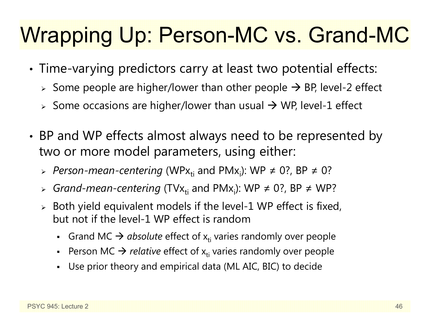## Wrapping Up: Person-MC vs. Grand-MC

- • Time-varying predictors carry at least two potential effects:
	- $\triangleright$  Some people are higher/lower than other people  $\rightarrow$  BP, level-2 effect
	- $\triangleright$  Some occasions are higher/lower than usual  $\rightarrow$  WP, level-1 effect
- • BP and WP effects almost always need to be represented by two or more model parameters, using either:
	- > Person-mean-centering (WPx<sub>ti</sub> and PMx<sub>i</sub>): WP ≠ 0?, BP ≠ 0?
	- » G*rand-mean-centering* (TVx<sub>ti</sub> and PMx<sub>i</sub>): WP ≠ 0?, BP ≠ WP?
	- $\triangleright$  Both yield equivalent models if the level-1 WP effect is fixed, but not if the level-1 WP effect is random
		- **Grand MC**  $\rightarrow$  **absolute effect of**  $x_{ti}$  **varies randomly over people**
		- **Person MC**  $\rightarrow$  **relative effect of**  $x_{ti}$  **varies randomly over people**
		- Use prior theory and empirical data (ML AIC, BIC) to decide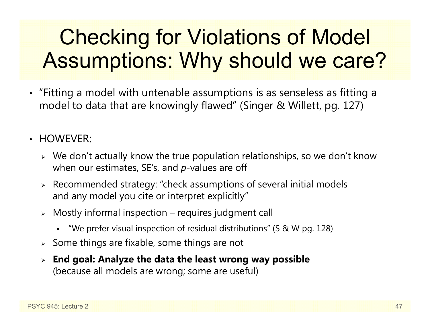## Checking for Violations of Model Assumptions: Why should we care?

- "Fitting a model with untenable assumptions is as senseless as fitting a model to data that are knowingly flawed" (Singer & Willett, pg. 127)
- HOWEVER:
	- $\triangleright$  We don't actually know the true population relationships, so we don't know when our estimates, SE's, and *p*-values are off
	- Recommended strategy: "check assumptions of several initial models and any model you cite or interpret explicitly"
	- $\triangleright$   $\,$  Mostly informal inspection requires judgment call
		- "We prefer visual inspection of residual distributions" (S & W pg. 128)
	- $\triangleright$  Some things are fixable, some things are not
	- **End goal: Analyze the data the least wrong way possible** (because all models are wrong; some are useful)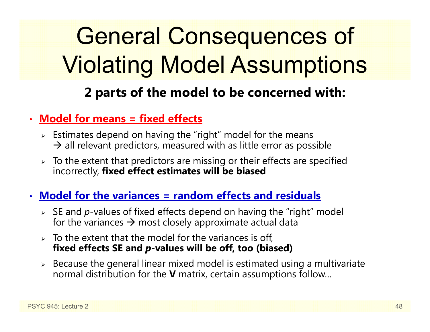# General Consequences of Violating Model Assumptions

### **2 parts of the model to be concerned with:**

#### •**Model for means = fixed effects**

- $\triangleright$  Estimates depend on having the "right" model for the means  $\rightarrow$  all relevant predictors, measured with as little error as possible
- $\triangleright$  To the extent that predictors are missing or their effects are specified incorrectly, **fixed effect estimates will be biased**
- **Model for the variances = random effects and residuals**
	- SE and *p*-values of fixed effects depend on having the "right" model for the variances  $\bm{\rightarrow}$  most closely approximate actual data
	- $>$  To the extent that the model for the variances is off, **fixed effects SE and**  *p***-values will be off, too (biased)**
	- $\triangleright$  Because the general linear mixed model is estimated using a multivariate normal distribution for the **V** matrix, certain assumptions follow…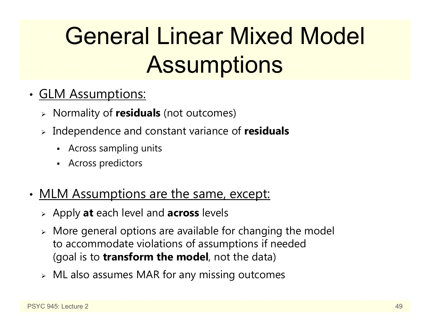# General Linear Mixed Model **Assumptions**

- • GLM Assumptions:
	- Normality of **residuals** (not outcomes)
	- Independence and constant variance of **residuals**
		- Across sampling units
		- Across predictors
- •• MLM Assumptions are the same, except:
	- Apply **at** each level and **across** levels
	- More general options are available for changing the model to accommodate violations of assumptions if needed (goal is to **transform the model**, not the data)
	- $\triangleright$   $\,$  ML also assumes MAR for any missing outcomes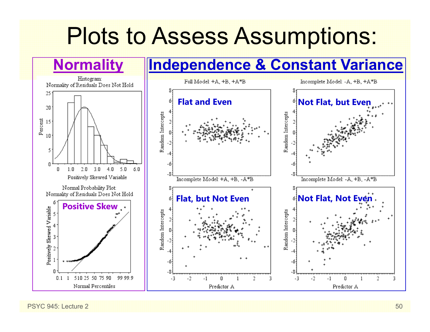## Plots to Assess Assumptions:



PSYC 945: Lecture 2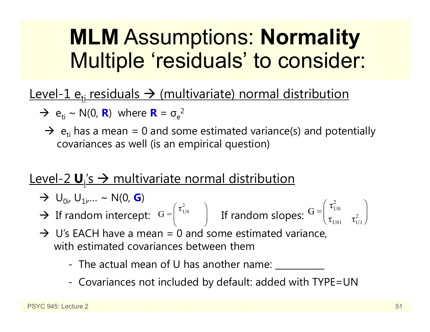## **MLM** Assumptions: **Normality** Multiple 'residuals' to consider:

### Level-1 e<sub>ti</sub> residuals -> (multivariate) normal distribution

- $\rightarrow e_{ti} \sim N(0, R)$  where  $R = \sigma_e^2$ 
	- $\rightarrow$  e<sub>ti</sub> has a mean = 0 and some estimated variance(s) and potentially covariances as well (is an empirical question)

### Level-2  $\mathbf{U}_i$ 's  $\rightarrow$  multivariate normal distribution

- $\rightarrow$  U<sub>0i</sub>, U<sub>1i</sub>,... ~ N(0, **G**)
- $\rightarrow$  If random intercept:  $G = \begin{bmatrix} 1 & 1 \\ 0 & 1 \end{bmatrix}$  If random slopes:  $\frac{1}{2}$ U0 $\frac{1}{2}$ U<sub>01</sub>  $\mathrm{G} = \begin{pmatrix} \tau_{\mathrm{U} 0}^{\phantom{\dag}} & \tau_{\mathrm{U} 0}^{\phantom{\dag}} & \tau_{\mathrm{U} 0} \end{pmatrix}$  $G = \begin{pmatrix} \tau_{U0}^2 & \ & \end{pmatrix}$  If random slopes:  $G = \begin{pmatrix} \tau_{U0}^2 & \ & \tau_{U1}^2 \end{pmatrix}$
- $\rightarrow$  U's EACH have a mean = 0 and some estimated variance, with estimated covariances between them
	- The actual mean of U has another name: \_\_\_\_\_\_\_\_\_\_\_
	- Covariances not included by default: added with TYPE=UN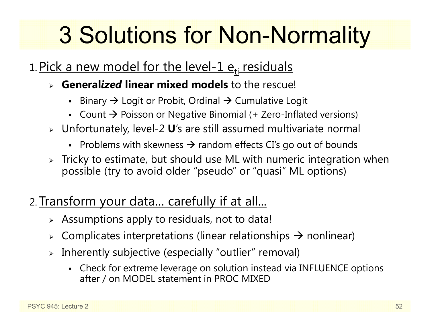# 3 Solutions for Non-Normality

### 1. <u>Pick a new model for the level-1 e<sub>ti</sub> residuals</u>

- **General***ized* **linear mixed models** to the rescue!
	- $\blacksquare$ Binary  $\rightarrow$  Logit or Probit, Ordinal  $\rightarrow$  Cumulative Logit
	- Count  $\rightarrow$  Poisson or Negative Binomial (+ Zero-Inflated versions)
- Unfortunately, level-2 **U**'s are still assumed multivariate normal
	- Problems with skewness  $\rightarrow$  random effects CI's go out of bounds
- $\triangleright$  Tricky to estimate, but should use ML with numeric integration when possible (try to avoid older "pseudo" or "quasi" ML options)
- 2. Transform your data… carefully if at all...
	- $\triangleright$   $\,$  Assumptions apply to residuals, not to data!
	- ➤  $\triangleright$  Complicates interpretations (linear relationships  $\rightarrow$  nonlinear)
	- ➤ Inherently subjective (especially "outlier" removal)
		- Check for extreme leverage on solution instead via INFLUENCE options after / on MODEL statement in PROC MIXED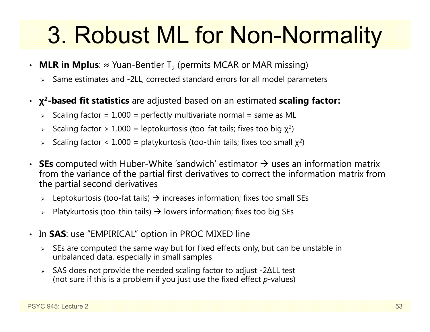# 3. Robust ML for Non-Normality

- $\bm\cdot\;$  **MLR in Mplus**:  $\approx$  Yuan-Bentler T $_2$  (permits MCAR or MAR missing)
	- Same estimates and -2LL, corrected standard errors for all model parameters
- **χ 2-based fit statistics** are adjusted based on an estimated **scaling factor:** 
	- $\triangleright$  Scaling factor = 1.000 = perfectly multivariate normal = same as ML
	- $\triangleright$  Scaling factor  $> 1.000$  = leptokurtosis (too-fat tails; fixes too big  $\chi^2$ )
	- > Scaling factor < 1.000 = platykurtosis (too-thin tails; fixes too small  $\chi^2$ )
- **SEs** computed with Huber-White 'sandwich' estimator  $\rightarrow$  uses an information matrix from the variance of the partial first derivatives to correct the information matrix from the partial second derivatives
	- $\triangleright$  Leptokurtosis (too-fat tails)  $\rightarrow$  increases information; fixes too small SEs
	- $\triangleright$  Platykurtosis (too-thin tails)  $\rightarrow$  lowers information; fixes too big SEs
- • In **SAS**: use "EMPIRICAL" option in PROC MIXED line
	- $\triangleright$  SEs are computed the same way but for fixed effects only, but can be unstable in unbalanced data, especially in small samples
	- SAS does not provide the needed scaling factor to adjust -2 ∆LL test (not sure if this is a problem if you just use the fixed effect *p*-values)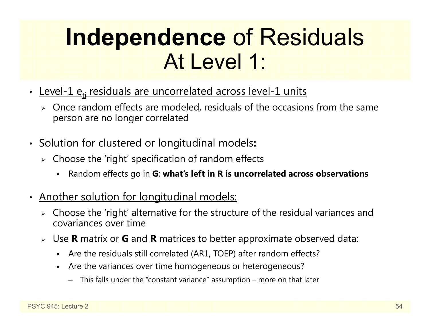## **Independence** of Residuals At Level 1:

- <u>Level-1 e<sub>ti</sub> residuals are uncorrelated across level-1 units</u>
	- $\triangleright$  Once random effects are modeled, residuals of the occasions from the same person are no longer correlated
- • Solution for clustered or longitudinal models**:**
	- $\triangleright\;$  Choose the 'right' specification of random effects
		- Random effects go in **G**; **what's left in R is uncorrelated across observations**
- $\bullet$  Another solution for longitudinal models:
	- $\triangleright$  Choose the 'right' alternative for the structure of the residual variances and covariances over time
	- $\triangleright$  Use **R** matrix or **G** and **R** matrices to better approximate observed data:
		- Are the residuals still correlated (AR1, TOEP) after random effects?
		- Are the variances over time homogeneous or heterogeneous?
			- This falls under the "constant variance" assumption more on that later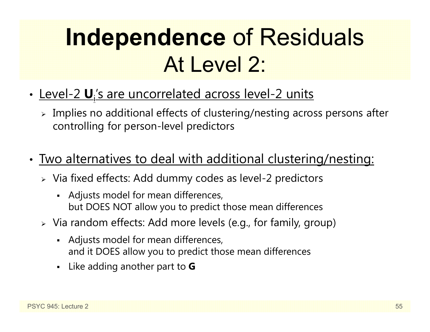# **Independence** of Residuals At Level 2:

- <u>Level-2 **U**,'s are uncorrelated across level-2 units</u>
	- $\triangleright$  Implies no additional effects of clustering/nesting across persons after controlling for person-level predictors
- • Two alternatives to deal with additional clustering/nesting:
	- Via fixed effects: Add dummy codes as level-2 predictors
		- Adjusts model for mean differences, but DOES NOT allow you to predict those mean differences
	- Via random effects: Add more levels (e.g., for family, group)
		- Adjusts model for mean differences, and it DOES allow you to predict those mean differences
		- Like adding another part to **G**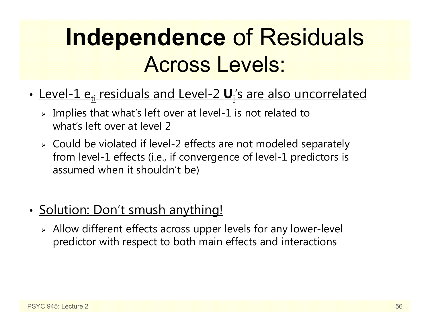# **Independence** of Residuals Across Levels:

- •• <u>Level-1 e<sub>ti</sub> residuals and Level-2 **U**<sub>i</sub>'s are also uncorrelated</u>
	- $\triangleright$  Implies that what's left over at level-1 is not related to what's left over at level 2
	- Could be violated if level-2 effects are not modeled separately from level-1 effects (i.e., if convergence of level-1 predictors is assumed when it shouldn't be)
- •• <u>Solution: Don't smush anything!</u>
	- Allow different effects across upper levels for any lower-level predictor with respect to both main effects and interactions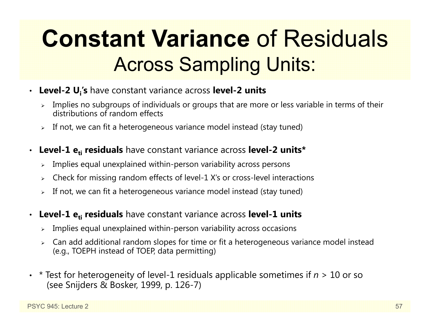# **Constant Variance** of Residuals Across Sampling Units:

- **Level-2 Ui's** have constant variance across **level-2 units**
	- $\triangleright$  Implies no subgroups of individuals or groups that are more or less variable in terms of their distributions of random effects
	- $\triangleright$  If not, we can fit a heterogeneous variance model instead (stay tuned)
- • **Level-1 eti residuals** have constant variance across **level-2 units\***
	- $\triangleright$  Implies equal unexplained within-person variability across persons
	- $\blacktriangleright$ Check for missing random effects of level-1 X's or cross-level interactions
	- $\triangleright$  If not, we can fit a heterogeneous variance model instead (stay tuned)
- $\bullet$  **Level-1 eti residuals** have constant variance across **level-1 units**
	- $\triangleright$  Implies equal unexplained within-person variability across occasions
	- Can add additional random slopes for time or fit a heterogeneous variance model instead (e.g., TOEPH instead of TOEP, data permitting)
- • \* Test for heterogeneity of level-1 residuals applicable sometimes if *n* > 10 or so (see Snijders & Bosker, 1999, p. 126-7)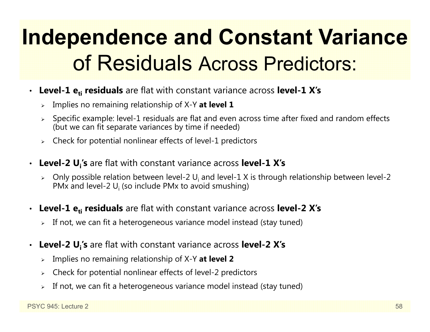## **Independence and Constant Variance** of Residuals Across Predictors:

- Level-1  $e_{ti}$  residuals are flat with constant variance across level-1 X's
	- Implies no remaining relationship of X-Y **at level 1**
	- $\triangleright$  Specific example: level-1 residuals are flat and even across time after fixed and random effects (but we can fit separate variances by time if needed)
	- $\triangleright$  Check for potential nonlinear effects of level-1 predictors
- **Level-2 Ui's** are flat with constant variance across **level-1 X's**
	- $\triangleright$  Only possible relation between level-2 U<sub>i</sub> and level-1 X is through relationship between level-2 PMx and level-2 U<sub>i</sub> (so include PMx to avoid smushing)
- Level-1  $e_{ti}$  residuals are flat with constant variance across level-2 X's
	- $\triangleright$  If not, we can fit a heterogeneous variance model instead (stay tuned)
- •Level-2 U<sub>i</sub>'s are flat with constant variance across level-2 X's
	- Implies no remaining relationship of X-Y **at level 2**
	- $\blacktriangleright$ Check for potential nonlinear effects of level-2 predictors
	- $\blacktriangleright$ If not, we can fit a heterogeneous variance model instead (stay tuned)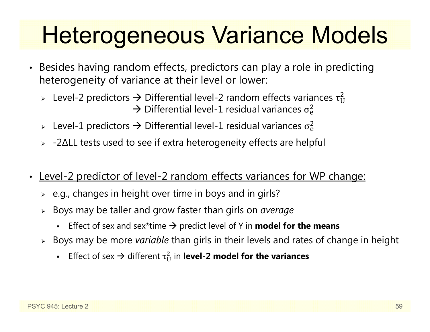# Heterogeneous Variance Models

- Besides having random effects, predictors can play a role in predicting heterogeneity of variance at their level or lower:
	- > Level-2 predictors  $\rightarrow$  Differential level-2 random effects variances  $\tau_U^2$  $\overline{c}$  $\rightarrow$  Differential level-1 residual variances  $\sigma_{\rm e}^2$  $\overline{c}$
	- > Level-1 predictors  $\rightarrow$  Differential level-1 residual variances  $\sigma_{\rm e}^2$ ଶ
	- -2 ∆LL tests used to see if extra heterogeneity effects are helpful
- •Level-2 predictor of level-2 random effects variances for WP change:
	- $\triangleright$   $\,$  e.g., changes in height over time in boys and in girls?
	- Boys may be taller and grow faster than girls on *average*
		- **E** Effect of sex and sex\*time  $\rightarrow$  predict level of Y in **model for the means**
	- Boys may be more *variable* than girls in their levels and rates of change in height
		- **Effect of sex**  $\rightarrow$  **different**  $\tau_U^2$  $\frac{2}{11}$  in **level-2 model for the variances**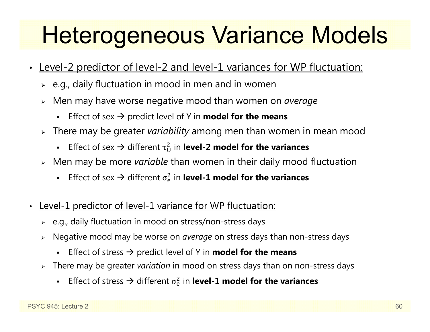# Heterogeneous Variance Models

- $\bullet$ Level-2 predictor of level-2 and level-1 variances for WP fluctuation:
	- $\triangleright$   $\,$  e.g., daily fluctuation in mood in men and in women
	- Men may have worse negative mood than women on *average*
		- **E** Effect of sex  $\rightarrow$  predict level of Y in **model for the means**
	- There may be greater *variability* among men than women in mean mood
		- n **E** Effect of sex  $\rightarrow$  different  $\tau_U^2$  $\frac{2}{11}$  in **level-2 model for the variances**
	- Men may be more *variable* than women in their daily mood fluctuation
		- n Effect of sex  $\rightarrow$  different  $\sigma_{\rm e}^2$  $\frac{2}{6}$  in **level-1 model for the variances**
- $\bullet$ Level-1 predictor of level-1 variance for WP fluctuation:
	- $\triangleright$   $\,$  e.g., daily fluctuation in mood on stress/non-stress days
	- Negative mood may be worse on *average* on stress days than non-stress days
		- **Effect of stress**  $\rightarrow$  **predict level of Y in model for the means**
	- There may be greater *variation* in mood on stress days than on non-stress days
		- n Effect of stress  $\rightarrow$  different  $\sigma_{\rm e}^2$  $\frac{2}{6}$  in **level-1 model for the variances**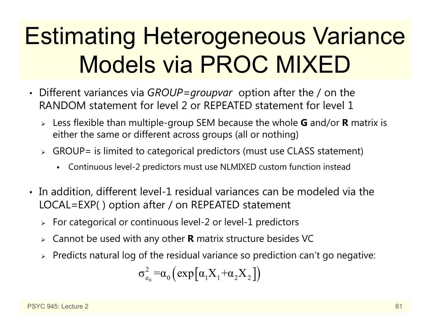# Estimating Heterogeneous Variance Models via PROC MIXED

- Different variances via *GROUP=groupvar* option after the / on the RANDOM statement for level 2 or REPEATED statement for level 1
	- Less flexible than multiple-group SEM because the whole **G** and/or **R** matrix is either the same or different across groups (all or nothing)
	- $\triangleright$  GROUP= is limited to categorical predictors (must use CLASS statement)
		- Continuous level-2 predictors must use NLMIXED custom function instead
- In addition, different level-1 residual variances can be modeled via the LOCAL=EXP( ) option after / on REPEATED statement
	- $\triangleright\;$  For categorical or continuous level-2 or level-1 predictors
	- Cannot be used with any other **R** matrix structure besides VC
	- $\triangleright$  Predicts natural log of the residual variance so prediction can't go negative:

$$
\sigma_{e_{ti}}^2 = \alpha_0 \left( exp \left[ \alpha_1 X_1 + \alpha_2 X_2 \right] \right)
$$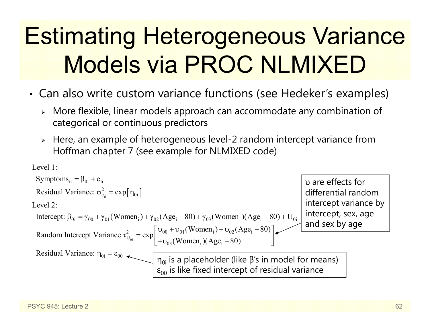# Estimating Heterogeneous Variance Models via PROC NLMIXED

- • Can also write custom variance functions (see Hedeker's examples)
	- More flexible, linear models approach can accommodate any combination of categorical or continuous predictors
	- $\triangleright$  Here, an example of heterogeneous level-2 random intercept variance from Hoffman chapter 7 (see example for NLMIXED code)

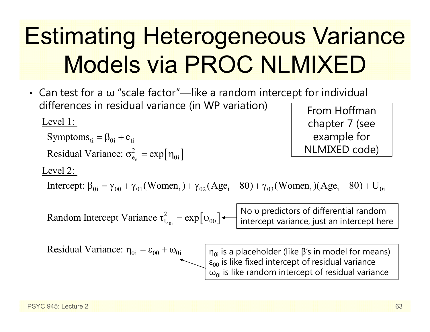# Estimating Heterogeneous Variance Models via PROC NLMIXED

• Can test for a  $\omega$  "scale factor"—like a random intercept for individual differences in residual variance (in WP variation) Level 1:

 $t_{\rm ti} = \exp\bigl[\eta_{\rm 0i}\,\bigr]$ Symptoms<sub>ti</sub> =  $\beta_{0i}$  +  $e_{ti}$ Residual Variance:  $\sigma_{e_i}^2 = \exp[\eta_{0i}]$ 

From Hoffman chapter 7 (see example for NLMIXED code)

#### Level 2:

Intercept:  $\beta_{0i} = \gamma_{00} + \gamma_{01} (Women_i) + \gamma_{02} (Age_i - 80) + \gamma_{03} (Women_i) (Age_i - 80) + U_{0i}$ 

 $\mathbf{e}_{_{0i}}=\exp\bigl[\mathbf{\mathbf{\mathbf{\mathbf{u}}}}_{00}\bigr]$ Random Intercept Variance  $\tau_{U_{\alpha}}^2 = \exp[v_{00}]$ 

No υ predictors of differential random intercept variance, just an intercept here

Residual Variance: 
$$
\eta_{0i} = \varepsilon_{00} + \omega_{0i}
$$

 $\eta_{0{\mathsf{i}}}$  is a placeholder (like β's in model for means)  $\epsilon_{00}$  is like fixed intercept of residual variance  $\omega_{0\text{i}}$  is like random intercept of residual variance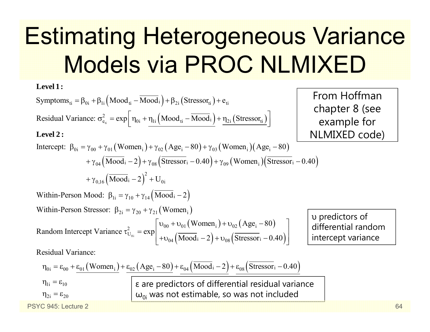# Estimating Heterogeneous Variance Models via PROC NLMIXED

Symptoms<sub>ti</sub> =  $\beta_{0i} + \beta_{1i} (\text{Mod}_{ti} - \overline{\text{Mod}}_i) + \beta_{2i} (\text{Stressor}_{ti}) + e_{ti}$  $t_{\text{t}} = \exp \left[ \eta_{0i} + \eta_{1i} \left( \text{Mod}_{\text{t}i} - \overline{\text{Mod}}_{\text{i}} \right) + \underline{\eta_{2i}} \left( \text{Stressor}_{\text{t}i} \right) \right]$ Intercept:  $\beta_{0i} = \gamma_{00} + \gamma_{01} (Women_{i}) + \gamma_{02} (Age_{i} - 80) + \gamma_{03} (Women_{i}) (Age_{i} - 80)$ Residual Variance:  $\sigma_{e_{ti}}^2 = \exp\left[\eta_{0i} + \eta_{1i} \left(Mood_{ti} - \overline{Mood_i}\right) + \eta_{2i}\left(Stressor_{ti}\right)\right]$  $\sigma_{e_{ii}}^2 = \exp\left[\eta_{0i} + \underline{\eta_{1i}\left(Mood_{ti} - \overline{Mood}_i\right)} + \underline{\eta_{2i}\left(Stressor_{ti}\right)}\right]$ **Level 1: Level 2 :** $i\gamma_{04} (\overline{\text{Mood}}_i - 2) + \gamma_{08} (\overline{\text{Stressor}}_i - 0.40) + \gamma_{09} (\text{Women}_i) (\overline{\text{Stressor}}_i - 0.40)$  $+\gamma_{0,16}\left(\overline{\text{Mood}}_i-2\right)^2+\text{U}_{0i}$ Within-Person Mood:  $\beta_{1i} = \gamma_{10} + \gamma_{14} (\overline{Mood}_i - 2)$ Within-Person Stressor:  $\beta_{2i} = \gamma_{20} + \gamma_{21}$  (Women<sub>i</sub>) Random In  $(\text{Women}_{i}) + \mathrm{v}_{02} (\text{Age}_{i} - 80)$  $\left| \frac{1}{1 - \exp \left( \frac{1}{1 - 2} \right)} \right| + \upsilon_{04} \left( \frac{1}{1 - 2} \right) + \upsilon_{08} \left( \frac{1}{1 - \frac{1}{1 - 2}} \right)$  $\eta_{0i} = \varepsilon_{00} + \varepsilon_{01} (Women_{i}) + \varepsilon_{02} (Age_{i} - 80) + \varepsilon_{04} (Mood_{i} - 2) + \varepsilon_{08} (Stressor_{i} - 0.40)$  $\mathcal{E}_{U_{0i}}^{2} = \exp \left| \frac{\omega_{00} + \omega_{01} (\text{World}_{i}) + \omega_{02} (\text{Test}_{i})}{+\omega_{04} (\text{Mod}_{i} - 2) + \omega_{08} (\text{Stressor}_{i})} \right|$  $\eta_{1\rm i} = \varepsilon_{10}$ Women,  $v_{02}$  (Age,  $-80$ tercept Variance  $\tau_{U_{0i}}^2 = \exp \left( \frac{1}{N \cdot 2 + \nu_{0s}} \left( \frac{\bar{U}_{0i}}{\bar{U}_{0i}} - 2 \right) + \nu_{0s} \left( \frac{\bar{U}_{0i}}{\bar{U}_{0i}} \right) \right)$ Residual Variance:  $\begin{bmatrix} v_{00} + v_{01} \ (Women_i) + v_{02} \ (Age_i - 80) \end{bmatrix}$  $\tau_{U_{0i}}^2 = \exp \left[ \frac{60}{10^{11}} \left( \frac{M}{\text{Modi}} - 2 \right) + v_{08} \left( \frac{3 \text{ tressar}}{10^{11}} - 0.40 \right) \right]$ υ predictors of differential random intercept variance From Hoffman chapter 8 (see example for NLMIXED code)

$$
\epsilon
$$
 are predictors of differential residual variance  $\omega_{0i}$  was not estimate, so was not included

PSYC 945: Lecture 2

 $\eta_{2 {\rm i}} = \varepsilon_{20}$